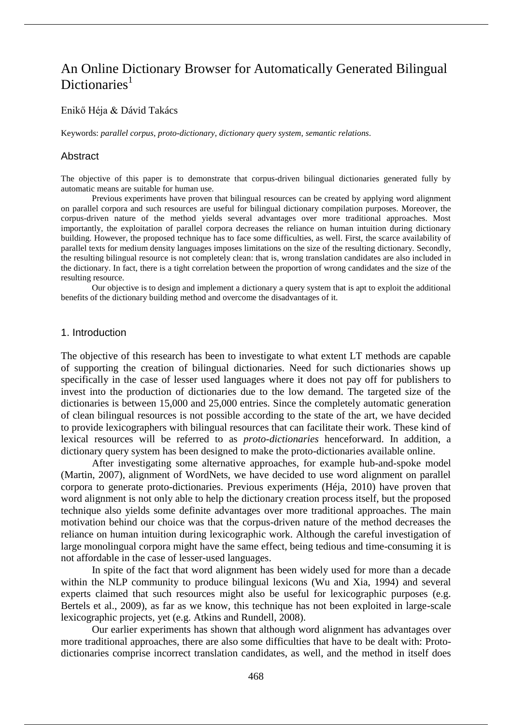# An Online Dictionary Browser for Automatically Generated Bilingual Dictionaries $<sup>1</sup>$ </sup>

#### Enikő Héja & Dávid Takács

Keywords: *parallel corpus*, *proto-dictionary*, *dictionary query system*, *semantic relations*.

#### Abstract

The objective of this paper is to demonstrate that corpus-driven bilingual dictionaries generated fully by automatic means are suitable for human use.

Previous experiments have proven that bilingual resources can be created by applying word alignment on parallel corpora and such resources are useful for bilingual dictionary compilation purposes. Moreover, the corpus-driven nature of the method yields several advantages over more traditional approaches. Most importantly, the exploitation of parallel corpora decreases the reliance on human intuition during dictionary building. However, the proposed technique has to face some difficulties, as well. First, the scarce availability of parallel texts for medium density languages imposes limitations on the size of the resulting dictionary. Secondly, the resulting bilingual resource is not completely clean: that is, wrong translation candidates are also included in the dictionary. In fact, there is a tight correlation between the proportion of wrong candidates and the size of the resulting resource.

Our objective is to design and implement a dictionary a query system that is apt to exploit the additional benefits of the dictionary building method and overcome the disadvantages of it.

#### 1. Introduction

The objective of this research has been to investigate to what extent LT methods are capable of supporting the creation of bilingual dictionaries. Need for such dictionaries shows up specifically in the case of lesser used languages where it does not pay off for publishers to invest into the production of dictionaries due to the low demand. The targeted size of the dictionaries is between 15,000 and 25,000 entries. Since the completely automatic generation of clean bilingual resources is not possible according to the state of the art, we have decided to provide lexicographers with bilingual resources that can facilitate their work. These kind of lexical resources will be referred to as *proto-dictionaries* henceforward. In addition, a dictionary query system has been designed to make the proto-dictionaries available online.

After investigating some alternative approaches, for example hub-and-spoke model (Martin, 2007), alignment of WordNets, we have decided to use word alignment on parallel corpora to generate proto-dictionaries. Previous experiments (Héja, 2010) have proven that word alignment is not only able to help the dictionary creation process itself, but the proposed technique also yields some definite advantages over more traditional approaches. The main motivation behind our choice was that the corpus-driven nature of the method decreases the reliance on human intuition during lexicographic work. Although the careful investigation of large monolingual corpora might have the same effect, being tedious and time-consuming it is not affordable in the case of lesser-used languages.

In spite of the fact that word alignment has been widely used for more than a decade within the NLP community to produce bilingual lexicons (Wu and Xia, 1994) and several experts claimed that such resources might also be useful for lexicographic purposes (e.g. Bertels et al., 2009), as far as we know, this technique has not been exploited in large-scale lexicographic projects, yet (e.g. Atkins and Rundell, 2008).

Our earlier experiments has shown that although word alignment has advantages over more traditional approaches, there are also some difficulties that have to be dealt with: Protodictionaries comprise incorrect translation candidates, as well, and the method in itself does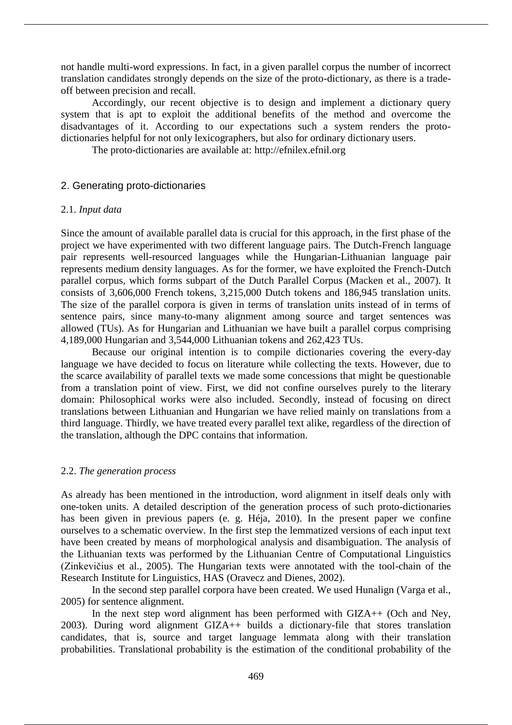not handle multi-word expressions. In fact, in a given parallel corpus the number of incorrect translation candidates strongly depends on the size of the proto-dictionary, as there is a tradeoff between precision and recall.

Accordingly, our recent objective is to design and implement a dictionary query system that is apt to exploit the additional benefits of the method and overcome the disadvantages of it. According to our expectations such a system renders the protodictionaries helpful for not only lexicographers, but also for ordinary dictionary users.

The proto-dictionaries are available at: http://efnilex.efnil.org

# 2. Generating proto-dictionaries

## 2.1. *Input data*

Since the amount of available parallel data is crucial for this approach, in the first phase of the project we have experimented with two different language pairs. The Dutch-French language pair represents well-resourced languages while the Hungarian-Lithuanian language pair represents medium density languages. As for the former, we have exploited the French-Dutch parallel corpus, which forms subpart of the Dutch Parallel Corpus (Macken et al., 2007). It consists of 3,606,000 French tokens, 3,215,000 Dutch tokens and 186,945 translation units. The size of the parallel corpora is given in terms of translation units instead of in terms of sentence pairs, since many-to-many alignment among source and target sentences was allowed (TUs). As for Hungarian and Lithuanian we have built a parallel corpus comprising 4,189,000 Hungarian and 3,544,000 Lithuanian tokens and 262,423 TUs.

Because our original intention is to compile dictionaries covering the every-day language we have decided to focus on literature while collecting the texts. However, due to the scarce availability of parallel texts we made some concessions that might be questionable from a translation point of view. First, we did not confine ourselves purely to the literary domain: Philosophical works were also included. Secondly, instead of focusing on direct translations between Lithuanian and Hungarian we have relied mainly on translations from a third language. Thirdly, we have treated every parallel text alike, regardless of the direction of the translation, although the DPC contains that information.

# 2.2. *The generation process*

As already has been mentioned in the introduction, word alignment in itself deals only with one-token units. A detailed description of the generation process of such proto-dictionaries has been given in previous papers (e. g. Héja, 2010). In the present paper we confine ourselves to a schematic overview. In the first step the lemmatized versions of each input text have been created by means of morphological analysis and disambiguation. The analysis of the Lithuanian texts was performed by the Lithuanian Centre of Computational Linguistics (Zinkevičius et al., 2005). The Hungarian texts were annotated with the tool-chain of the Research Institute for Linguistics, HAS (Oravecz and Dienes, 2002).

In the second step parallel corpora have been created. We used Hunalign (Varga et al., 2005) for sentence alignment.

In the next step word alignment has been performed with GIZA++ (Och and Ney, 2003). During word alignment GIZA++ builds a dictionary-file that stores translation candidates, that is, source and target language lemmata along with their translation probabilities. Translational probability is the estimation of the conditional probability of the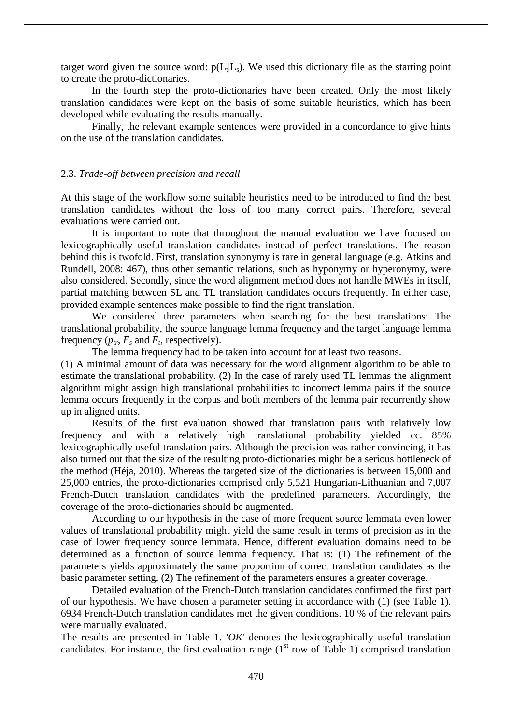target word given the source word:  $p(L_t|L_s)$ . We used this dictionary file as the starting point to create the proto-dictionaries.

In the fourth step the proto-dictionaries have been created. Only the most likely translation candidates were kept on the basis of some suitable heuristics, which has been developed while evaluating the results manually.

Finally, the relevant example sentences were provided in a concordance to give hints on the use of the translation candidates.

#### 2.3. *Trade-off between precision and recall*

At this stage of the workflow some suitable heuristics need to be introduced to find the best translation candidates without the loss of too many correct pairs. Therefore, several evaluations were carried out.

It is important to note that throughout the manual evaluation we have focused on lexicographically useful translation candidates instead of perfect translations. The reason behind this is twofold. First, translation synonymy is rare in general language (e.g. Atkins and Rundell, 2008: 467), thus other semantic relations, such as hyponymy or hyperonymy, were also considered. Secondly, since the word alignment method does not handle MWEs in itself, partial matching between SL and TL translation candidates occurs frequently. In either case, provided example sentences make possible to find the right translation.

We considered three parameters when searching for the best translations: The translational probability, the source language lemma frequency and the target language lemma frequency  $(p<sub>tr</sub>, F<sub>s</sub>$  and  $F<sub>t</sub>$ , respectively).

The lemma frequency had to be taken into account for at least two reasons.

(1) A minimal amount of data was necessary for the word alignment algorithm to be able to estimate the translational probability. (2) In the case of rarely used TL lemmas the alignment algorithm might assign high translational probabilities to incorrect lemma pairs if the source lemma occurs frequently in the corpus and both members of the lemma pair recurrently show up in aligned units.

Results of the first evaluation showed that translation pairs with relatively low frequency and with a relatively high translational probability yielded cc. 85% lexicographically useful translation pairs. Although the precision was rather convincing, it has also turned out that the size of the resulting proto-dictionaries might be a serious bottleneck of the method (Héja, 2010). Whereas the targeted size of the dictionaries is between 15,000 and 25,000 entries, the proto-dictionaries comprised only 5,521 Hungarian-Lithuanian and 7,007 French-Dutch translation candidates with the predefined parameters. Accordingly, the coverage of the proto-dictionaries should be augmented.

According to our hypothesis in the case of more frequent source lemmata even lower values of translational probability might yield the same result in terms of precision as in the case of lower frequency source lemmata. Hence, different evaluation domains need to be determined as a function of source lemma frequency. That is: (1) The refinement of the parameters yields approximately the same proportion of correct translation candidates as the basic parameter setting, (2) The refinement of the parameters ensures a greater coverage.

Detailed evaluation of the French-Dutch translation candidates confirmed the first part of our hypothesis. We have chosen a parameter setting in accordance with (1) (see Table 1). 6934 French-Dutch translation candidates met the given conditions. 10 % of the relevant pairs were manually evaluated.

The results are presented in Table 1. '*OK*' denotes the lexicographically useful translation candidates. For instance, the first evaluation range  $(1<sup>st</sup> row of Table 1)$  comprised translation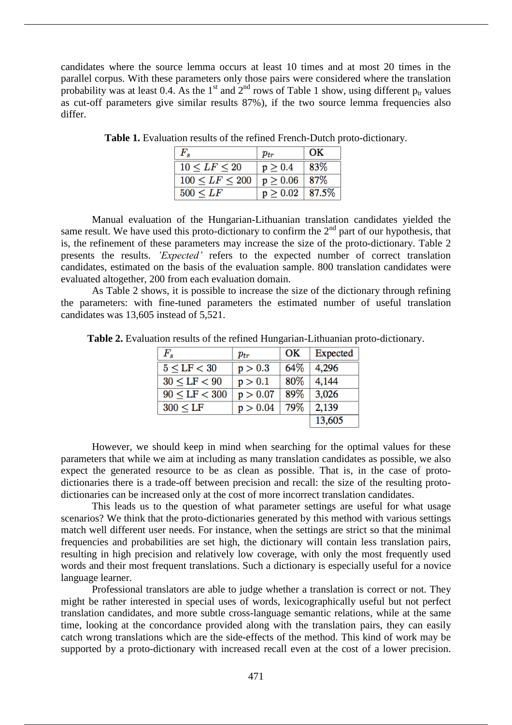candidates where the source lemma occurs at least 10 times and at most 20 times in the parallel corpus. With these parameters only those pairs were considered where the translation probability was at least 0.4. As the 1<sup>st</sup> and  $2<sup>nd</sup>$  rows of Table 1 show, using different  $p<sub>tr</sub>$  values as cut-off parameters give similar results 87%), if the two source lemma frequencies also differ.

| $F_{s}$                | $p_{tr}$              | OK  |
|------------------------|-----------------------|-----|
| $10 \leq LF \leq 20$   | $p \geq 0.4$          | 83% |
| $100 \leq LF \leq 200$ | $p \ge 0.06$   87\%   |     |
| $500 \leq LF$          | $p \geq 0.02$   87.5% |     |

**Table 1.** Evaluation results of the refined French-Dutch proto-dictionary.

Manual evaluation of the Hungarian-Lithuanian translation candidates yielded the same result. We have used this proto-dictionary to confirm the  $2<sup>nd</sup>$  part of our hypothesis, that is, the refinement of these parameters may increase the size of the proto-dictionary. Table 2 presents the results. *'Expected'* refers to the expected number of correct translation candidates, estimated on the basis of the evaluation sample. 800 translation candidates were evaluated altogether, 200 from each evaluation domain.

As Table 2 shows, it is possible to increase the size of the dictionary through refining the parameters: with fine-tuned parameters the estimated number of useful translation candidates was 13,605 instead of 5,521.

| $F_s$              | $p_{tr}$ | OK   | Expected |
|--------------------|----------|------|----------|
| $5 \leq LF < 30$   | p > 0.3  | 64\% | 4,296    |
| $30 \leq LF < 90$  | p > 0.1  | 80%  | 4,144    |
| $90 \leq LF < 300$ | p > 0.07 | 89%  | 3,026    |
| $300 \leq LF$      | p > 0.04 | 79%  | 2,139    |
|                    |          |      | 13,605   |

**Table 2.** Evaluation results of the refined Hungarian-Lithuanian proto-dictionary.

However, we should keep in mind when searching for the optimal values for these parameters that while we aim at including as many translation candidates as possible, we also expect the generated resource to be as clean as possible. That is, in the case of protodictionaries there is a trade-off between precision and recall: the size of the resulting protodictionaries can be increased only at the cost of more incorrect translation candidates.

This leads us to the question of what parameter settings are useful for what usage scenarios? We think that the proto-dictionaries generated by this method with various settings match well different user needs. For instance, when the settings are strict so that the minimal frequencies and probabilities are set high, the dictionary will contain less translation pairs, resulting in high precision and relatively low coverage, with only the most frequently used words and their most frequent translations. Such a dictionary is especially useful for a novice language learner.

Professional translators are able to judge whether a translation is correct or not. They might be rather interested in special uses of words, lexicographically useful but not perfect translation candidates, and more subtle cross-language semantic relations, while at the same time, looking at the concordance provided along with the translation pairs, they can easily catch wrong translations which are the side-effects of the method. This kind of work may be supported by a proto-dictionary with increased recall even at the cost of a lower precision.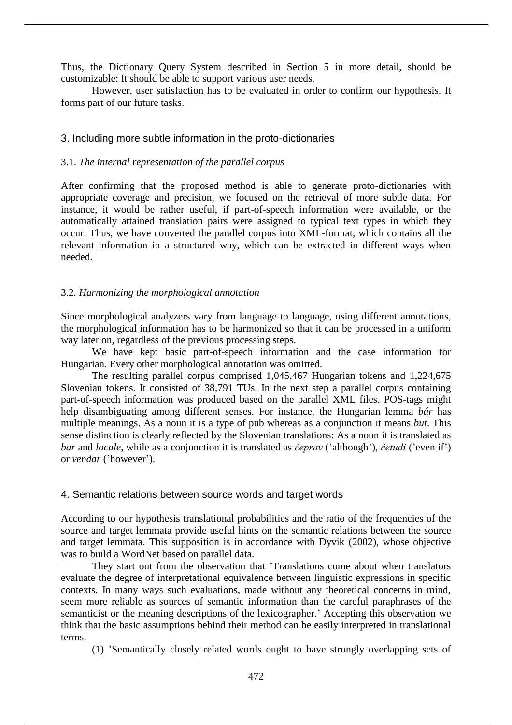Thus, the Dictionary Query System described in Section 5 in more detail, should be customizable: It should be able to support various user needs.

However, user satisfaction has to be evaluated in order to confirm our hypothesis. It forms part of our future tasks.

## 3. Including more subtle information in the proto-dictionaries

#### 3.1. *The internal representation of the parallel corpus*

After confirming that the proposed method is able to generate proto-dictionaries with appropriate coverage and precision, we focused on the retrieval of more subtle data. For instance, it would be rather useful, if part-of-speech information were available, or the automatically attained translation pairs were assigned to typical text types in which they occur. Thus, we have converted the parallel corpus into XML-format, which contains all the relevant information in a structured way, which can be extracted in different ways when needed.

## 3.2*. Harmonizing the morphological annotation*

Since morphological analyzers vary from language to language, using different annotations, the morphological information has to be harmonized so that it can be processed in a uniform way later on, regardless of the previous processing steps.

We have kept basic part-of-speech information and the case information for Hungarian. Every other morphological annotation was omitted.

The resulting parallel corpus comprised 1,045,467 Hungarian tokens and 1,224,675 Slovenian tokens. It consisted of 38,791 TUs. In the next step a parallel corpus containing part-of-speech information was produced based on the parallel XML files. POS-tags might help disambiguating among different senses. For instance, the Hungarian lemma *bár* has multiple meanings. As a noun it is a type of pub whereas as a conjunction it means *but*. This sense distinction is clearly reflected by the Slovenian translations: As a noun it is translated as *bar* and *locale*, while as a conjunction it is translated as *čeprav* ('although'), *četudi* ('even if') or *vendar* ('however').

#### 4. Semantic relations between source words and target words

According to our hypothesis translational probabilities and the ratio of the frequencies of the source and target lemmata provide useful hints on the semantic relations between the source and target lemmata. This supposition is in accordance with Dyvik (2002), whose objective was to build a WordNet based on parallel data.

They start out from the observation that 'Translations come about when translators evaluate the degree of interpretational equivalence between linguistic expressions in specific contexts. In many ways such evaluations, made without any theoretical concerns in mind, seem more reliable as sources of semantic information than the careful paraphrases of the semanticist or the meaning descriptions of the lexicographer.' Accepting this observation we think that the basic assumptions behind their method can be easily interpreted in translational terms.

(1) 'Semantically closely related words ought to have strongly overlapping sets of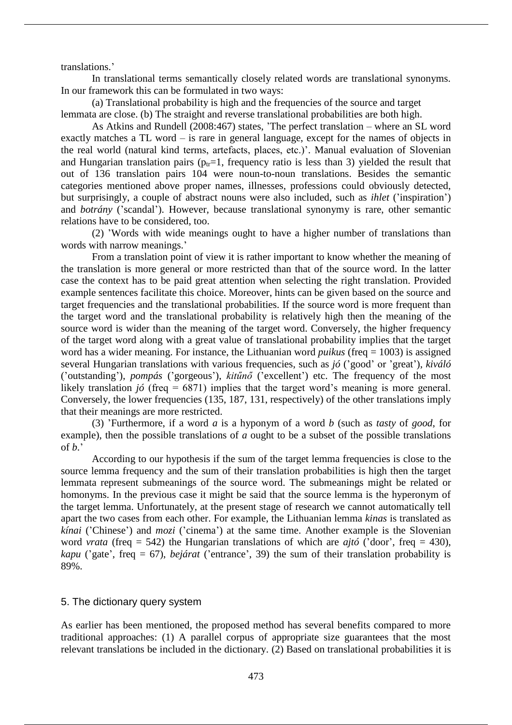translations.'

In translational terms semantically closely related words are translational synonyms. In our framework this can be formulated in two ways:

(a) Translational probability is high and the frequencies of the source and target lemmata are close. (b) The straight and reverse translational probabilities are both high.

As Atkins and Rundell (2008:467) states, 'The perfect translation – where an SL word exactly matches a TL word – is rare in general language, except for the names of objects in the real world (natural kind terms, artefacts, places, etc.)'. Manual evaluation of Slovenian and Hungarian translation pairs ( $p_{tr}=1$ , frequency ratio is less than 3) yielded the result that out of 136 translation pairs 104 were noun-to-noun translations. Besides the semantic categories mentioned above proper names, illnesses, professions could obviously detected, but surprisingly, a couple of abstract nouns were also included, such as *ihlet* ('inspiration') and *botrány* ('scandal'). However, because translational synonymy is rare, other semantic relations have to be considered, too.

(2) 'Words with wide meanings ought to have a higher number of translations than words with narrow meanings.'

From a translation point of view it is rather important to know whether the meaning of the translation is more general or more restricted than that of the source word. In the latter case the context has to be paid great attention when selecting the right translation. Provided example sentences facilitate this choice. Moreover, hints can be given based on the source and target frequencies and the translational probabilities. If the source word is more frequent than the target word and the translational probability is relatively high then the meaning of the source word is wider than the meaning of the target word. Conversely, the higher frequency of the target word along with a great value of translational probability implies that the target word has a wider meaning. For instance, the Lithuanian word *puikus* (freq = 1003) is assigned several Hungarian translations with various frequencies, such as *jó* ('good' or 'great'), *kiváló*  ('outstanding'), *pompás* ('gorgeous'), *kitűnő* ('excellent') etc. The frequency of the most likely translation *jó* (freq = 6871) implies that the target word's meaning is more general. Conversely, the lower frequencies (135, 187, 131, respectively) of the other translations imply that their meanings are more restricted.

(3) 'Furthermore, if a word *a* is a hyponym of a word *b* (such as *tasty* of *good*, for example), then the possible translations of *a* ought to be a subset of the possible translations of *b*.'

According to our hypothesis if the sum of the target lemma frequencies is close to the source lemma frequency and the sum of their translation probabilities is high then the target lemmata represent submeanings of the source word. The submeanings might be related or homonyms. In the previous case it might be said that the source lemma is the hyperonym of the target lemma. Unfortunately, at the present stage of research we cannot automatically tell apart the two cases from each other. For example, the Lithuanian lemma *kinas* is translated as *kínai* ('Chinese') and *mozi* ('cinema') at the same time. Another example is the Slovenian word *vrata* (freq = 542) the Hungarian translations of which are *ajtó* ('door', freq = 430), *kapu* ('gate', freq = 67), *bejárat* ('entrance', 39) the sum of their translation probability is 89%.

#### 5. The dictionary query system

As earlier has been mentioned, the proposed method has several benefits compared to more traditional approaches: (1) A parallel corpus of appropriate size guarantees that the most relevant translations be included in the dictionary. (2) Based on translational probabilities it is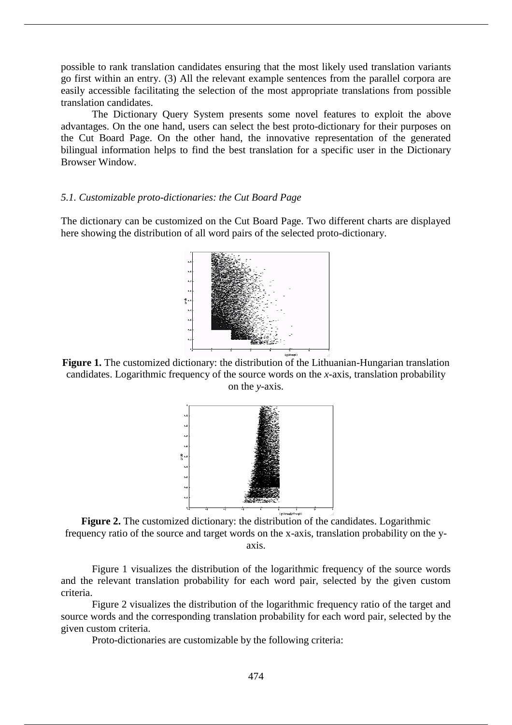possible to rank translation candidates ensuring that the most likely used translation variants go first within an entry. (3) All the relevant example sentences from the parallel corpora are easily accessible facilitating the selection of the most appropriate translations from possible translation candidates.

The Dictionary Query System presents some novel features to exploit the above advantages. On the one hand, users can select the best proto-dictionary for their purposes on the Cut Board Page. On the other hand, the innovative representation of the generated bilingual information helps to find the best translation for a specific user in the Dictionary Browser Window.

# *5.1. Customizable proto-dictionaries: the Cut Board Page*

The dictionary can be customized on the Cut Board Page. Two different charts are displayed here showing the distribution of all word pairs of the selected proto-dictionary.



**Figure 1.** The customized dictionary: the distribution of the Lithuanian-Hungarian translation candidates. Logarithmic frequency of the source words on the *x*-axis, translation probability on the *y*-axis.



**Figure 2.** The customized dictionary: the distribution of the candidates. Logarithmic frequency ratio of the source and target words on the x-axis, translation probability on the yaxis.

Figure 1 visualizes the distribution of the logarithmic frequency of the source words and the relevant translation probability for each word pair, selected by the given custom criteria.

Figure 2 visualizes the distribution of the logarithmic frequency ratio of the target and source words and the corresponding translation probability for each word pair, selected by the given custom criteria.

Proto-dictionaries are customizable by the following criteria: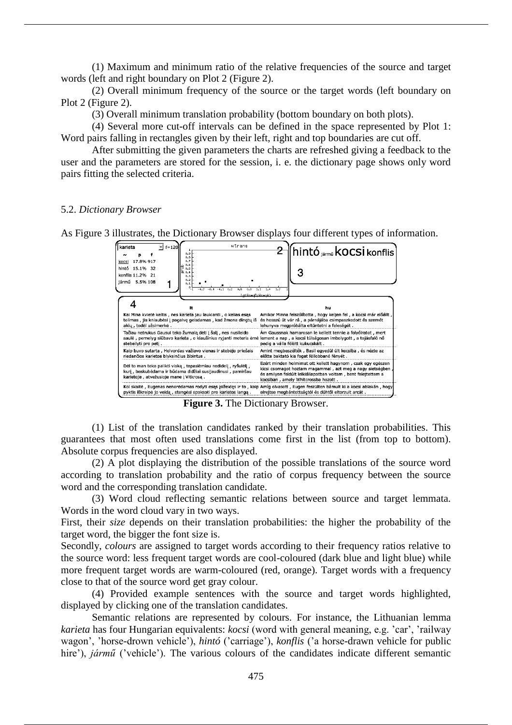(1) Maximum and minimum ratio of the relative frequencies of the source and target words (left and right boundary on Plot 2 (Figure 2).

(2) Overall minimum frequency of the source or the target words (left boundary on Plot 2 (Figure 2).

(3) Overall minimum translation probability (bottom boundary on both plots).

(4) Several more cut-off intervals can be defined in the space represented by Plot 1: Word pairs falling in rectangles given by their left, right and top boundaries are cut off.

After submitting the given parameters the charts are refreshed giving a feedback to the user and the parameters are stored for the session, i. e. the dictionary page shows only word pairs fitting the selected criteria.

#### 5.2. *Dictionary Browser*

As Figure 3 illustrates, the Dictionary Browser displays four different types of information.

| karieta<br>f=120<br>0.9                                                                                                                                                  | wtrans<br>hintó jármű <b>kocsi</b> konflis                                                                                                                                                                                        |
|--------------------------------------------------------------------------------------------------------------------------------------------------------------------------|-----------------------------------------------------------------------------------------------------------------------------------------------------------------------------------------------------------------------------------|
| 0.8<br>17.8% 917<br>0.7<br>kocsi<br>hintó<br>15.1%<br>32<br>0.5<br>ਨ.<br>0.5<br>konflis 11.2% 21<br>0.3<br>0.2<br>jármű 5.5% 108<br>0.1                                  |                                                                                                                                                                                                                                   |
|                                                                                                                                                                          | 1d(fredB/fredA)                                                                                                                                                                                                                   |
| It                                                                                                                                                                       | hu                                                                                                                                                                                                                                |
| Kai Mina kvietė keltis, nes karieta jau laukianti, o kelias esas<br>tolimas, jis kniaubėsi į pagalvę geisdamas, kad žmona dingtų iš<br>akių, todėl užsimerkė.            | Amikor Minna felszólította, hogy keljen fel, a kocsi már előállt,<br>és hosszú út vár rá, a párnájába csimpaszkodott és szemét<br>lehunyva megpróbálta eltüntetni a feleségét.                                                    |
| Tačiau netrukus Gausui teko žurnalą dėti į šalį, nes nusileido<br>saulė, pernelyg siūbavo karieta, o kiaušinius ryjanti moteris ėmė<br>stebeilyti pro peti.              | Am Gaussnak hamarosan le kellett tennie a folvóiratot, mert<br>lement a nap, a kocsi túlságosan imbolygott, a tojásfaló nő<br>pedig a válla fölött kukucskált .                                                                   |
| Kaip buvo sutarta, Holvordas važiavo vienas ir stebėjo priešais<br>riedančios karietos blyksinčius žibintus.                                                             | Amint megbeszélték, Basil egyedül ült kocsiba, és nézte az<br>előtte baktató kis fogat föllobbanó fénvét.                                                                                                                         |
| Dėl to man teko palikti viską, tepasiėmiau nedidelį, ryšulėlį,<br>kuri, beskubėdama ir būdama didžiai susijaudinusi, pamiršau<br>karietoje, atvežusioje mane i Vitkrosa. | Ezért minden holmimat ott kellett hagynom, csak egy egészen<br>kicsi csomagot hoztam magammal, azt meg a nagy sietségben,<br>és amilyen feldúlt lelkiállapotban voltam, bent felejtettem a<br>kocsiban, amely Whitcrossba hozott. |
| pyktis iškreipė jo veidą, stengėsi spoksoti pro karietos langą.                                                                                                          | Kol skaitė, Eugenas nenorėdamas rodyti esąs isižeidęs ir to, kaip Amig olvasott, Eugen feszülten bamult ki a kocsi ablakan, hogy<br>elrejtse megbántottságtól és dühtől eltorzult arcát.                                          |

**Figure 3.** The Dictionary Browser.

(1) List of the translation candidates ranked by their translation probabilities. This guarantees that most often used translations come first in the list (from top to bottom). Absolute corpus frequencies are also displayed.

(2) A plot displaying the distribution of the possible translations of the source word according to translation probability and the ratio of corpus frequency between the source word and the corresponding translation candidate.

(3) Word cloud reflecting semantic relations between source and target lemmata. Words in the word cloud vary in two ways.

First, their *size* depends on their translation probabilities: the higher the probability of the target word, the bigger the font size is.

Secondly, *colours* are assigned to target words according to their frequency ratios relative to the source word: less frequent target words are cool-coloured (dark blue and light blue) while more frequent target words are warm-coloured (red, orange). Target words with a frequency close to that of the source word get gray colour.

(4) Provided example sentences with the source and target words highlighted, displayed by clicking one of the translation candidates.

Semantic relations are represented by colours. For instance, the Lithuanian lemma *karieta* has four Hungarian equivalents: *kocsi* (word with general meaning, e.g. 'car', 'railway wagon', 'horse-drown vehicle'), *hintó* ('carriage'), *konflis* ('a horse-drawn vehicle for public hire'), *jármű* ('vehicle'). The various colours of the candidates indicate different semantic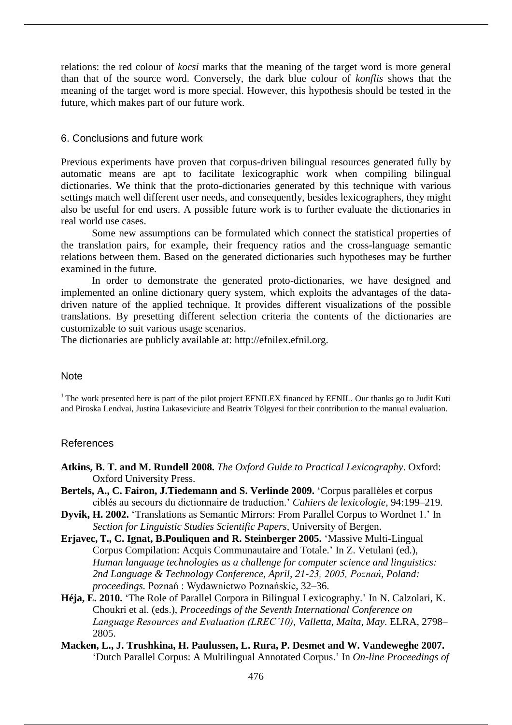relations: the red colour of *kocsi* marks that the meaning of the target word is more general than that of the source word. Conversely, the dark blue colour of *konflis* shows that the meaning of the target word is more special. However, this hypothesis should be tested in the future, which makes part of our future work.

## 6. Conclusions and future work

Previous experiments have proven that corpus-driven bilingual resources generated fully by automatic means are apt to facilitate lexicographic work when compiling bilingual dictionaries. We think that the proto-dictionaries generated by this technique with various settings match well different user needs, and consequently, besides lexicographers, they might also be useful for end users. A possible future work is to further evaluate the dictionaries in real world use cases.

Some new assumptions can be formulated which connect the statistical properties of the translation pairs, for example, their frequency ratios and the cross-language semantic relations between them. Based on the generated dictionaries such hypotheses may be further examined in the future.

In order to demonstrate the generated proto-dictionaries, we have designed and implemented an online dictionary query system, which exploits the advantages of the datadriven nature of the applied technique. It provides different visualizations of the possible translations. By presetting different selection criteria the contents of the dictionaries are customizable to suit various usage scenarios.

The dictionaries are publicly available at: http://efnilex.efnil.org.

#### **Note**

<sup>1</sup> The work presented here is part of the pilot project EFNILEX financed by EFNIL. Our thanks go to Judit Kuti and Piroska Lendvai, Justina Lukaseviciute and Beatrix Tölgyesi for their contribution to the manual evaluation.

#### References

- **Atkins, B. T. and M. Rundell 2008.** *The Oxford Guide to Practical Lexicography*. Oxford: Oxford University Press.
- **Bertels, A., C. Fairon, J.Tiedemann and S. Verlinde 2009.** 'Corpus parallèles et corpus ciblés au secours du dictionnaire de traduction.' *Cahiers de lexicologie*, 94:199–219.
- **Dyvik, H. 2002.** 'Translations as Semantic Mirrors: From Parallel Corpus to Wordnet 1.' In *Section for Linguistic Studies Scientific Papers*, University of Bergen.
- **Erjavec, T., C. Ignat, B.Pouliquen and R. Steinberger 2005.** 'Massive Multi-Lingual Corpus Compilation: Acquis Communautaire and Totale.' In Z. Vetulani (ed.), *Human language technologies as a challenge for computer science and linguistics:*  2nd Language & Technology Conference, April, 21-23, 2005, Poznań, Poland: *proceedings.* Poznań: Wydawnictwo Poznańskie, 32–36.
- **Héja, E. 2010.** 'The Role of Parallel Corpora in Bilingual Lexicography.' In N. Calzolari, K. Choukri et al. (eds.), *Proceedings of the Seventh International Conference on Language Resources and Evaluation (LREC'10), Valletta, Malta, May. ELRA, 2798–* 2805.
- **Macken, L., J. Trushkina, H. Paulussen, L. Rura, P. Desmet and W. Vandeweghe 2007.** 'Dutch Parallel Corpus: A Multilingual Annotated Corpus.' In *On-line Proceedings of*